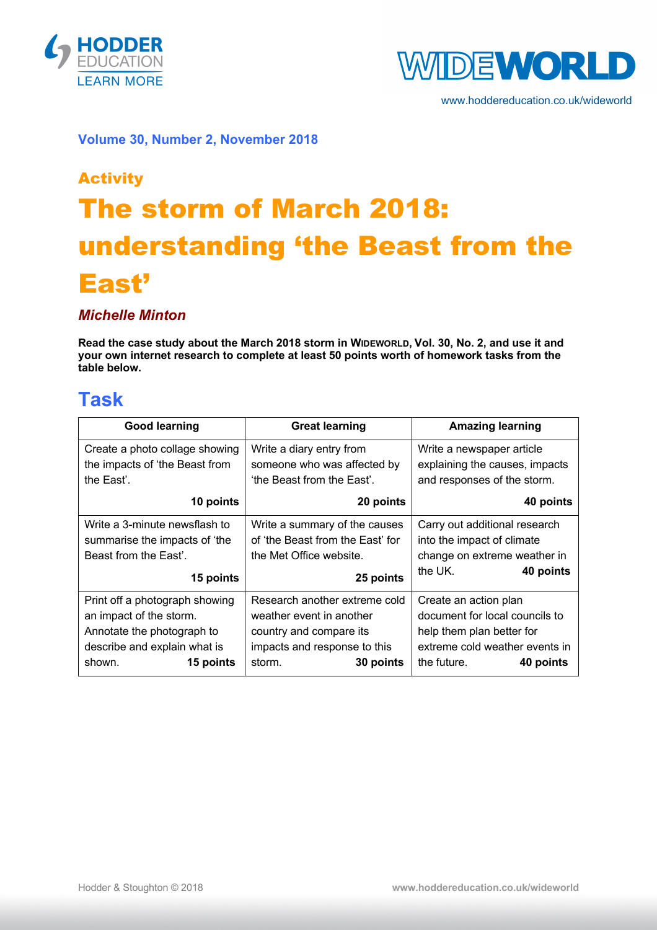



www.hoddereducation.co.uk/wideworld

**Volume 30, Number 2, November 2018**

## Activity The storm of March 2018: understanding 'the Beast from the East'

## *Michelle Minton*

**Read the case study about the March 2018 storm in WIDEWORLD, Vol. 30, No. 2, and use it and your own internet research to complete at least 50 points worth of homework tasks from the table below.**

## **Task**

| <b>Good learning</b>           | <b>Great learning</b>            | <b>Amazing learning</b>        |
|--------------------------------|----------------------------------|--------------------------------|
| Create a photo collage showing | Write a diary entry from         | Write a newspaper article      |
| the impacts of 'the Beast from | someone who was affected by      | explaining the causes, impacts |
| the East'.                     | 'the Beast from the East'.       | and responses of the storm.    |
| 10 points                      | 20 points                        | 40 points                      |
| Write a 3-minute newsflash to  | Write a summary of the causes    | Carry out additional research  |
| summarise the impacts of 'the  | of 'the Beast from the East' for | into the impact of climate     |
| Beast from the East'.          | the Met Office website.          | change on extreme weather in   |
| 15 points                      | 25 points                        | the UK.<br>40 points           |
| Print off a photograph showing | Research another extreme cold    | Create an action plan          |
| an impact of the storm.        | weather event in another         | document for local councils to |
| Annotate the photograph to     | country and compare its          | help them plan better for      |
| describe and explain what is   | impacts and response to this     | extreme cold weather events in |
| shown.<br>15 points            | storm.<br>30 points              | the future.<br>40 points       |